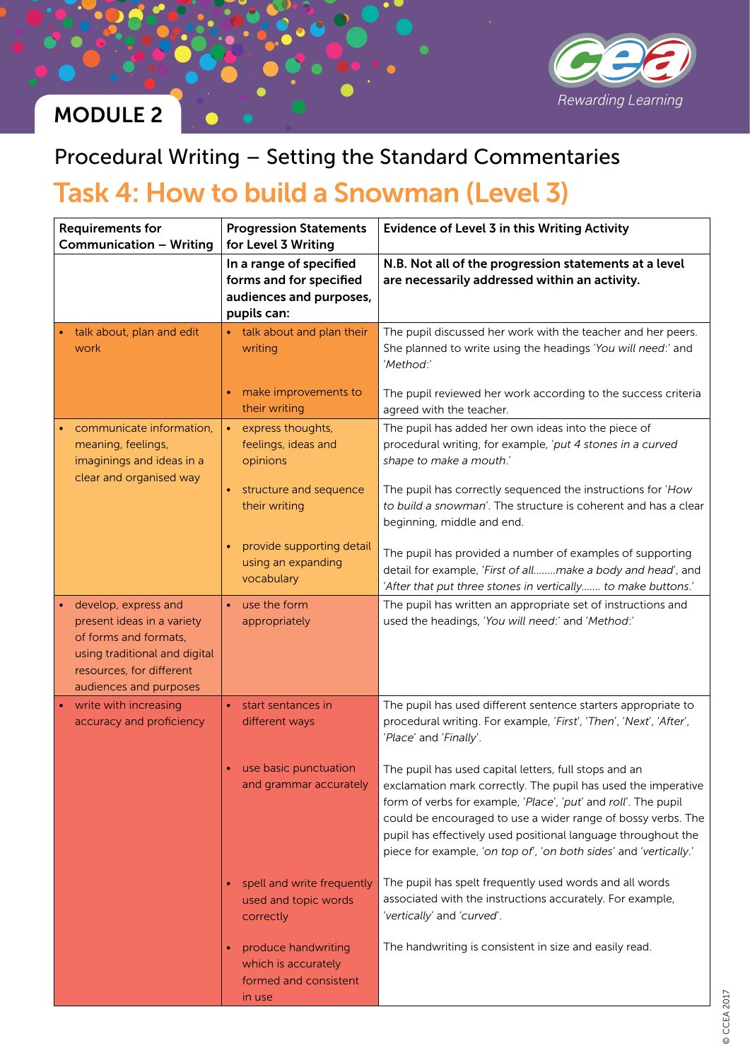

# MODULE 2

### Procedural Writing – Setting the Standard Commentaries

## Task 4: How to build a Snowman (Level 3)

| <b>Requirements for</b><br><b>Communication - Writing</b>                                                                                                          | <b>Progression Statements</b><br>for Level 3 Writing                                         | <b>Evidence of Level 3 in this Writing Activity</b>                                                                                                                                                                                                                                                                                                                                            |
|--------------------------------------------------------------------------------------------------------------------------------------------------------------------|----------------------------------------------------------------------------------------------|------------------------------------------------------------------------------------------------------------------------------------------------------------------------------------------------------------------------------------------------------------------------------------------------------------------------------------------------------------------------------------------------|
|                                                                                                                                                                    | In a range of specified<br>forms and for specified<br>audiences and purposes,<br>pupils can: | N.B. Not all of the progression statements at a level<br>are necessarily addressed within an activity.                                                                                                                                                                                                                                                                                         |
| talk about, plan and edit<br>work                                                                                                                                  | • talk about and plan their<br>writing                                                       | The pupil discussed her work with the teacher and her peers.<br>She planned to write using the headings 'You will need:' and<br>'Method:'                                                                                                                                                                                                                                                      |
|                                                                                                                                                                    | make improvements to<br>their writing                                                        | The pupil reviewed her work according to the success criteria<br>agreed with the teacher.                                                                                                                                                                                                                                                                                                      |
| communicate information,<br>meaning, feelings,<br>imaginings and ideas in a<br>clear and organised way                                                             | express thoughts,<br>$\bullet$ .<br>feelings, ideas and<br>opinions                          | The pupil has added her own ideas into the piece of<br>procedural writing, for example, 'put 4 stones in a curved<br>shape to make a mouth.'                                                                                                                                                                                                                                                   |
|                                                                                                                                                                    | structure and sequence<br>their writing                                                      | The pupil has correctly sequenced the instructions for 'How<br>to build a snowman'. The structure is coherent and has a clear<br>beginning, middle and end.                                                                                                                                                                                                                                    |
|                                                                                                                                                                    | provide supporting detail<br>using an expanding<br>vocabulary                                | The pupil has provided a number of examples of supporting<br>detail for example, 'First of allmake a body and head', and<br>'After that put three stones in vertically to make buttons.'                                                                                                                                                                                                       |
| develop, express and<br>present ideas in a variety<br>of forms and formats,<br>using traditional and digital<br>resources, for different<br>audiences and purposes | use the form<br>$\bullet$<br>appropriately                                                   | The pupil has written an appropriate set of instructions and<br>used the headings, 'You will need:' and 'Method:'                                                                                                                                                                                                                                                                              |
| write with increasing<br>accuracy and proficiency                                                                                                                  | start sentances in<br>$\bullet$<br>different ways                                            | The pupil has used different sentence starters appropriate to<br>procedural writing. For example, 'First', 'Then', 'Next', 'After',<br>'Place' and 'Finally'.                                                                                                                                                                                                                                  |
|                                                                                                                                                                    | use basic punctuation<br>and grammar accurately                                              | The pupil has used capital letters, full stops and an<br>exclamation mark correctly. The pupil has used the imperative<br>form of verbs for example, 'Place', 'put' and roll'. The pupil<br>could be encouraged to use a wider range of bossy verbs. The<br>pupil has effectively used positional language throughout the<br>piece for example, 'on top of', 'on both sides' and 'vertically.' |
|                                                                                                                                                                    | spell and write frequently<br>used and topic words<br>correctly                              | The pupil has spelt frequently used words and all words<br>associated with the instructions accurately. For example,<br>'vertically' and 'curved'.                                                                                                                                                                                                                                             |
|                                                                                                                                                                    | produce handwriting<br>which is accurately<br>formed and consistent<br>in use                | The handwriting is consistent in size and easily read.                                                                                                                                                                                                                                                                                                                                         |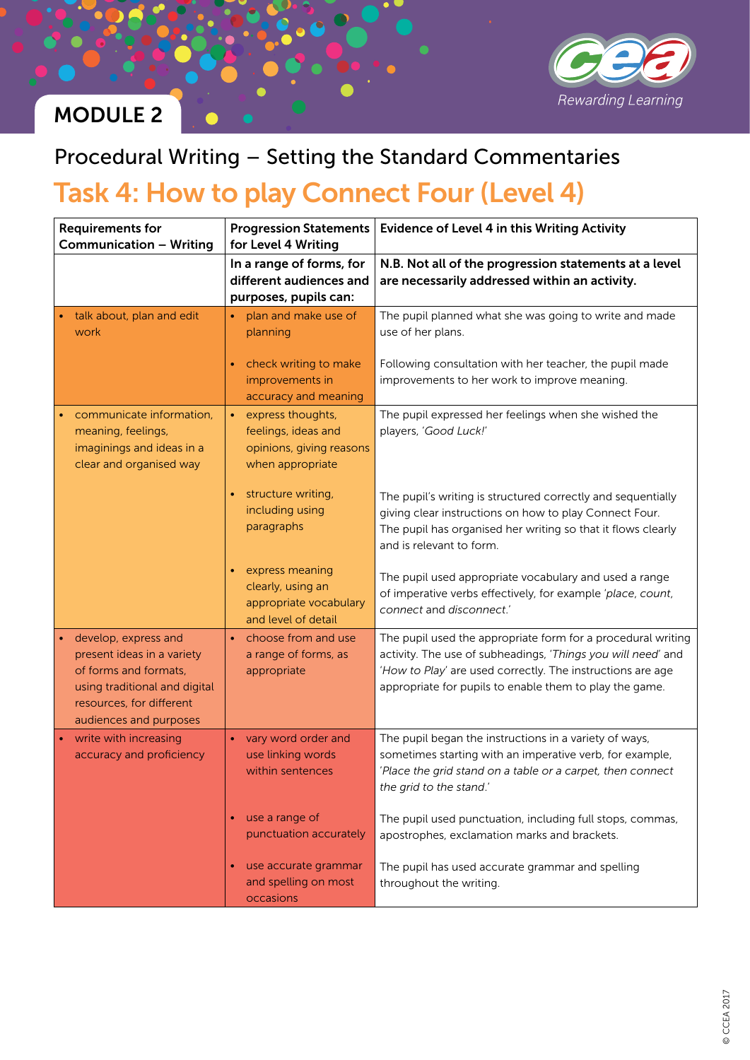

### MODULE 2

### Procedural Writing – Setting the Standard Commentaries

## Task 4: How to play Connect Four (Level 4)

| <b>Requirements for</b><br><b>Communication - Writing</b>                                                                                                          | <b>Progression Statements</b><br>for Level 4 Writing                                     | <b>Evidence of Level 4 in this Writing Activity</b>                                                                                                                                                                                                   |
|--------------------------------------------------------------------------------------------------------------------------------------------------------------------|------------------------------------------------------------------------------------------|-------------------------------------------------------------------------------------------------------------------------------------------------------------------------------------------------------------------------------------------------------|
|                                                                                                                                                                    | In a range of forms, for<br>different audiences and<br>purposes, pupils can:             | N.B. Not all of the progression statements at a level<br>are necessarily addressed within an activity.                                                                                                                                                |
| talk about, plan and edit<br>work                                                                                                                                  | plan and make use of<br>planning                                                         | The pupil planned what she was going to write and made<br>use of her plans.                                                                                                                                                                           |
|                                                                                                                                                                    | check writing to make<br>improvements in<br>accuracy and meaning                         | Following consultation with her teacher, the pupil made<br>improvements to her work to improve meaning.                                                                                                                                               |
| communicate information,<br>meaning, feelings,<br>imaginings and ideas in a<br>clear and organised way                                                             | express thoughts,<br>feelings, ideas and<br>opinions, giving reasons<br>when appropriate | The pupil expressed her feelings when she wished the<br>players, 'Good Luck!'                                                                                                                                                                         |
|                                                                                                                                                                    | structure writing,<br>including using<br>paragraphs                                      | The pupil's writing is structured correctly and sequentially<br>giving clear instructions on how to play Connect Four.<br>The pupil has organised her writing so that it flows clearly<br>and is relevant to form.                                    |
|                                                                                                                                                                    | express meaning<br>clearly, using an<br>appropriate vocabulary<br>and level of detail    | The pupil used appropriate vocabulary and used a range<br>of imperative verbs effectively, for example 'place, count,<br>connect and disconnect.'                                                                                                     |
| develop, express and<br>present ideas in a variety<br>of forms and formats,<br>using traditional and digital<br>resources, for different<br>audiences and purposes | choose from and use<br>a range of forms, as<br>appropriate                               | The pupil used the appropriate form for a procedural writing<br>activity. The use of subheadings, 'Things you will need' and<br>'How to Play' are used correctly. The instructions are age<br>appropriate for pupils to enable them to play the game. |
| write with increasing<br>accuracy and proficiency                                                                                                                  | vary word order and<br>use linking words<br>within sentences                             | The pupil began the instructions in a variety of ways,<br>sometimes starting with an imperative verb, for example,<br>'Place the grid stand on a table or a carpet, then connect<br>the grid to the stand.'                                           |
|                                                                                                                                                                    | use a range of<br>punctuation accurately                                                 | The pupil used punctuation, including full stops, commas,<br>apostrophes, exclamation marks and brackets.                                                                                                                                             |
|                                                                                                                                                                    | use accurate grammar<br>and spelling on most<br>occasions                                | The pupil has used accurate grammar and spelling<br>throughout the writing.                                                                                                                                                                           |